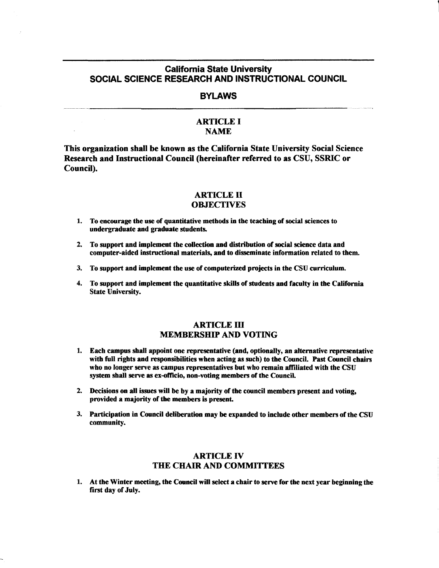# California State University SOCIAL SCIENCE RESEARCH AND INSTRUCTIONAL COUNCIL

# **BYLAWS**

## ARTICLE I **NAME**

This organization shall be known as the California State University Social Science Research and Instructional Council (hereinafter referred to as CSU, SSRIC or Council).

### ARTICLE II **OBJECTIVES**

- 1. To encourage the use of quantitative methods in the teaching of social sciences to undergraduate and graduate students.
- 2. To support and implement the collection and distribution of social science data and computer-aided instructional materials, and to disseminate information related to them.
- 3. To support and implement the use of computerized projects in the CSU curriculum.
- 4. To support and implement the quantitative skills of students and faculty in the California State University.

## **ARTICLE III** MEMBERSHIP AND VOTING

- 1. Each campus shall appoint one representative **(and,** optionally, an alternative representative with full rights and responsibilities when acting as such) to the Council. Past Council chairs who no longer serve as campus representatives but who remain affiliated with the CSU system shall serve as ex-officio, non-voting members of the Council.
- 2. Decisions on all issues will be by a majority of the council members present and voting, provided a majority of the members is present.
- 3. Participation in Council deliberation may be expanded to include other members of the CSU community.

# ARTICLE IV THE CHAIR AND COMMITTEES

1. At the Winter meeting, the Council will select a chair to serve for the next year beginning the first day of July.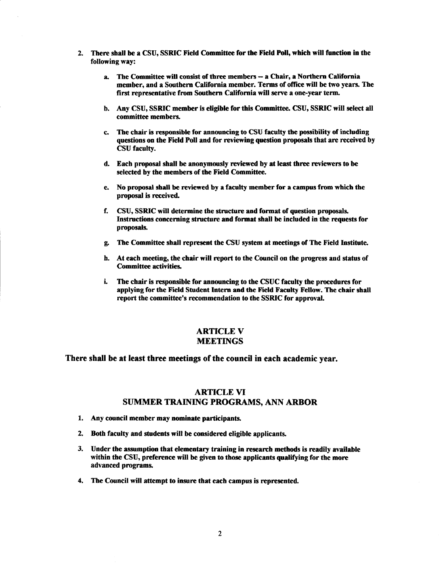- 2. There shall be a CSU, SSRIC Field Committee for the Field Poll, which will function in the following way:
	- a. The Committee will consist of three members- a Chair, a Northern California member, and a Southern California member. Terms of office will be two years. The first representative from Southern California will serve a one-year term.
	- b. Any CSU, SSRIC member is eligible for this Committee. CSU, SSRIC will select all committee members.
	- c. The chair is responsible for announcing to CSU faculty the possibility of including questions on the Field Poll and for reviewing question proposals that are received by CSU faculty.
	- d. Each proposal shall be anonymously reviewed by at least three reviewers to be selected by the members of the Field Committee.
	- e. No proposal shall be reviewed by a faculty member for a campus from which the proposal is received.
	- f. CSU, SSRIC will determine the structure and format of question proposals. Instructions concerning structure and format shall be included in the requests for proposals.
	- g. The Committee shall represent the CSU system at meetings of The Field Institute.
	- h. At each meeting, the chair will report to the Council on the progress and status of Committee activities.
	- i. The chair is responsible for announcing to the CSUC faculty the procedures for applying for the Field Student Intern and the Field Faculty Fellow. The chair shall report the committee's recommendation to the SSRIC for approval.

### **ARTICLE V** MEETINGS

#### There shall be at least three meetings of the council in each academic year.

# ARTICLE VI SUMMER TRAINING PROGRAMS, ANN ARBOR

- 1. Any council member may nominate participants.
- 2. Both faculty and students will be considered eligible applicants.
- 3. Under the assumption that elementary training in research methods is readily available within the CSU, preference will be given to those applicants qualifying for the more advanced programs.
- 4. The Council will attempt to insure that each campus is represented.